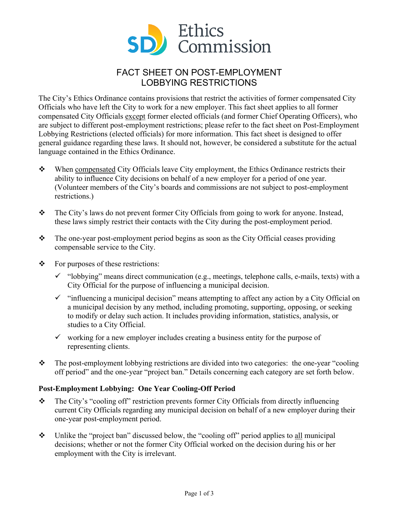

## FACT SHEET ON POST-EMPLOYMENT LOBBYING RESTRICTIONS

The City's Ethics Ordinance contains provisions that restrict the activities of former compensated City Officials who have left the City to work for a new employer. This fact sheet applies to all former compensated City Officials except former elected officials (and former Chief Operating Officers), who are subject to different post-employment restrictions; please refer to the fact sheet on Post-Employment Lobbying Restrictions (elected officials) for more information. This fact sheet is designed to offer general guidance regarding these laws. It should not, however, be considered a substitute for the actual language contained in the Ethics Ordinance.

- \* When compensated City Officials leave City employment, the Ethics Ordinance restricts their ability to influence City decisions on behalf of a new employer for a period of one year. (Volunteer members of the City's boards and commissions are not subject to post-employment restrictions.)
- \* The City's laws do not prevent former City Officials from going to work for anyone. Instead, these laws simply restrict their contacts with the City during the post-employment period.
- $\cdot \cdot$  The one-year post-employment period begins as soon as the City Official ceases providing compensable service to the City.
- $\div$  For purposes of these restrictions:
	- $\checkmark$  "lobbying" means direct communication (e.g., meetings, telephone calls, e-mails, texts) with a City Official for the purpose of influencing a municipal decision.
	- $\checkmark$  "influencing a municipal decision" means attempting to affect any action by a City Official on a municipal decision by any method, including promoting, supporting, opposing, or seeking to modify or delay such action. It includes providing information, statistics, analysis, or studies to a City Official.
	- $\checkmark$  working for a new employer includes creating a business entity for the purpose of representing clients.
- \* The post-employment lobbying restrictions are divided into two categories: the one-year "cooling" off period" and the one-year "project ban." Details concerning each category are set forth below.

## **Post-Employment Lobbying: One Year Cooling-Off Period**

- \* The City's "cooling off" restriction prevents former City Officials from directly influencing current City Officials regarding any municipal decision on behalf of a new employer during their one-year post-employment period.
- Unlike the "project ban" discussed below, the "cooling off" period applies to all municipal decisions; whether or not the former City Official worked on the decision during his or her employment with the City is irrelevant.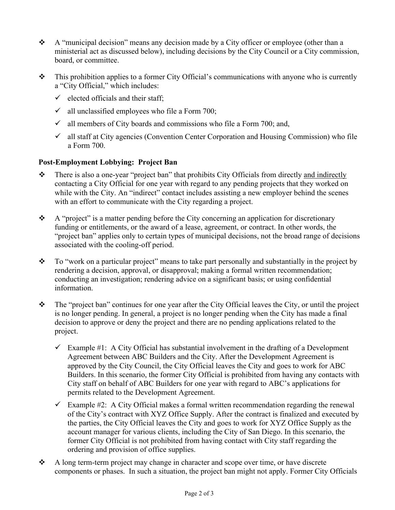- A "municipal decision" means any decision made by a City officer or employee (other than a ministerial act as discussed below), including decisions by the City Council or a City commission, board, or committee.
- $\triangle$  This prohibition applies to a former City Official's communications with anyone who is currently a "City Official," which includes:
	- $\checkmark$  elected officials and their staff;
	- $\checkmark$  all unclassified employees who file a Form 700;
	- $\checkmark$  all members of City boards and commissions who file a Form 700; and,
	- $\checkmark$  all staff at City agencies (Convention Center Corporation and Housing Commission) who file a Form 700.

## **Post-Employment Lobbying: Project Ban**

- $\mathbf{\hat{P}}$  There is also a one-year "project ban" that prohibits City Officials from directly and indirectly contacting a City Official for one year with regard to any pending projects that they worked on while with the City. An "indirect" contact includes assisting a new employer behind the scenes with an effort to communicate with the City regarding a project.
- $\triangle$  A "project" is a matter pending before the City concerning an application for discretionary funding or entitlements, or the award of a lease, agreement, or contract. In other words, the "project ban" applies only to certain types of municipal decisions, not the broad range of decisions associated with the cooling-off period.
- $\bullet$  To "work on a particular project" means to take part personally and substantially in the project by rendering a decision, approval, or disapproval; making a formal written recommendation; conducting an investigation; rendering advice on a significant basis; or using confidential information.
- $\mathbf{\hat{P}}$  The "project ban" continues for one year after the City Official leaves the City, or until the project is no longer pending. In general, a project is no longer pending when the City has made a final decision to approve or deny the project and there are no pending applications related to the project.
	- $\checkmark$  Example #1: A City Official has substantial involvement in the drafting of a Development Agreement between ABC Builders and the City. After the Development Agreement is approved by the City Council, the City Official leaves the City and goes to work for ABC Builders. In this scenario, the former City Official is prohibited from having any contacts with City staff on behalf of ABC Builders for one year with regard to ABC's applications for permits related to the Development Agreement.
	- $\checkmark$  Example #2: A City Official makes a formal written recommendation regarding the renewal of the City's contract with XYZ Office Supply. After the contract is finalized and executed by the parties, the City Official leaves the City and goes to work for XYZ Office Supply as the account manager for various clients, including the City of San Diego. In this scenario, the former City Official is not prohibited from having contact with City staff regarding the ordering and provision of office supplies.
- $\bullet$  A long term-term project may change in character and scope over time, or have discrete components or phases. In such a situation, the project ban might not apply. Former City Officials